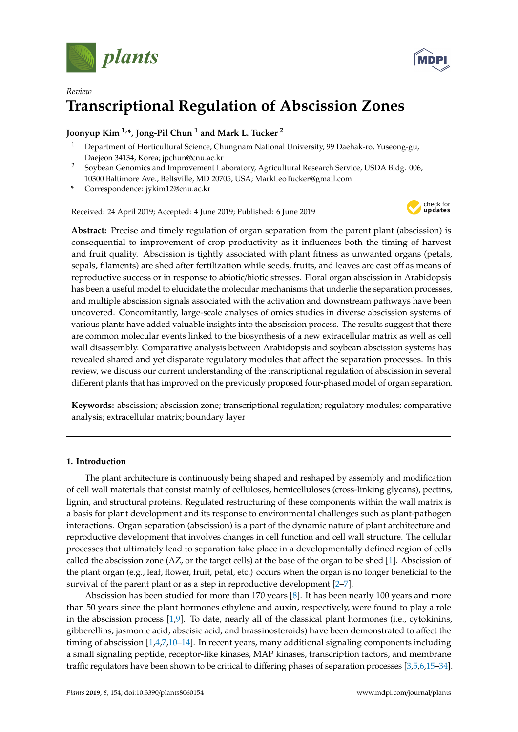



# *Review* **Transcriptional Regulation of Abscission Zones**

# **Joonyup Kim 1,\*, Jong-Pil Chun <sup>1</sup> and Mark L. Tucker <sup>2</sup>**

- <sup>1</sup> Department of Horticultural Science, Chungnam National University, 99 Daehak-ro, Yuseong-gu, Daejeon 34134, Korea; jpchun@cnu.ac.kr
- <sup>2</sup> Soybean Genomics and Improvement Laboratory, Agricultural Research Service, USDA Bldg. 006, 10300 Baltimore Ave., Beltsville, MD 20705, USA; MarkLeoTucker@gmail.com
- **\*** Correspondence: jykim12@cnu.ac.kr

Received: 24 April 2019; Accepted: 4 June 2019; Published: 6 June 2019



**Abstract:** Precise and timely regulation of organ separation from the parent plant (abscission) is consequential to improvement of crop productivity as it influences both the timing of harvest and fruit quality. Abscission is tightly associated with plant fitness as unwanted organs (petals, sepals, filaments) are shed after fertilization while seeds, fruits, and leaves are cast off as means of reproductive success or in response to abiotic/biotic stresses. Floral organ abscission in Arabidopsis has been a useful model to elucidate the molecular mechanisms that underlie the separation processes, and multiple abscission signals associated with the activation and downstream pathways have been uncovered. Concomitantly, large-scale analyses of omics studies in diverse abscission systems of various plants have added valuable insights into the abscission process. The results suggest that there are common molecular events linked to the biosynthesis of a new extracellular matrix as well as cell wall disassembly. Comparative analysis between Arabidopsis and soybean abscission systems has revealed shared and yet disparate regulatory modules that affect the separation processes. In this review, we discuss our current understanding of the transcriptional regulation of abscission in several different plants that has improved on the previously proposed four-phased model of organ separation.

**Keywords:** abscission; abscission zone; transcriptional regulation; regulatory modules; comparative analysis; extracellular matrix; boundary layer

# **1. Introduction**

The plant architecture is continuously being shaped and reshaped by assembly and modification of cell wall materials that consist mainly of celluloses, hemicelluloses (cross-linking glycans), pectins, lignin, and structural proteins. Regulated restructuring of these components within the wall matrix is a basis for plant development and its response to environmental challenges such as plant-pathogen interactions. Organ separation (abscission) is a part of the dynamic nature of plant architecture and reproductive development that involves changes in cell function and cell wall structure. The cellular processes that ultimately lead to separation take place in a developmentally defined region of cells called the abscission zone (AZ, or the target cells) at the base of the organ to be shed [\[1\]](#page-9-0). Abscission of the plant organ (e.g., leaf, flower, fruit, petal, etc.) occurs when the organ is no longer beneficial to the survival of the parent plant or as a step in reproductive development [\[2](#page-9-1)[–7\]](#page-9-2).

Abscission has been studied for more than 170 years [\[8\]](#page-9-3). It has been nearly 100 years and more than 50 years since the plant hormones ethylene and auxin, respectively, were found to play a role in the abscission process  $[1,9]$  $[1,9]$ . To date, nearly all of the classical plant hormones (i.e., cytokinins, gibberellins, jasmonic acid, abscisic acid, and brassinosteroids) have been demonstrated to affect the timing of abscission [\[1,](#page-9-0)[4,](#page-9-5)[7,](#page-9-2)[10–](#page-9-6)[14\]](#page-9-7). In recent years, many additional signaling components including a small signaling peptide, receptor-like kinases, MAP kinases, transcription factors, and membrane traffic regulators have been shown to be critical to differing phases of separation processes [\[3,](#page-9-8)[5,](#page-9-9)[6,](#page-9-10)[15–](#page-9-11)[34\]](#page-10-0).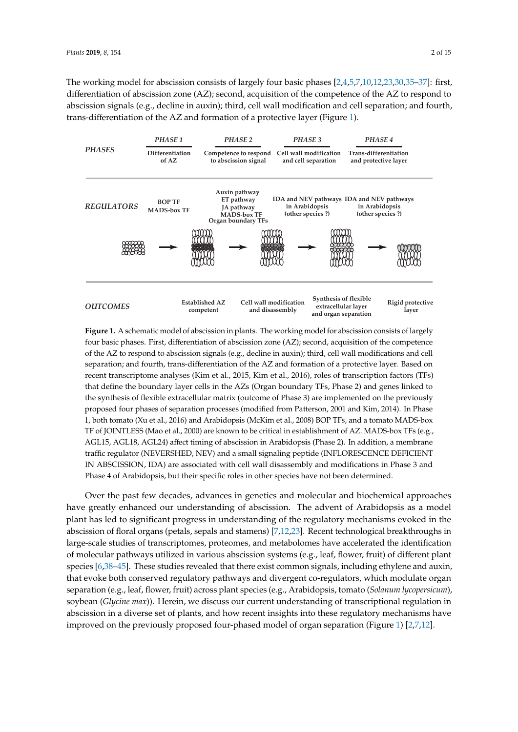The working model for abscission consists of largely four basic phases [\[2](#page-9-1)[,4,](#page-9-5)[5,](#page-9-9)[7,](#page-9-2)[10,](#page-9-6)[12](#page-9-12)[,23](#page-10-1)[,30](#page-10-2)[,35](#page-10-3)-37]: first, differentiation of abscission zone (AZ); second, acquisition of the competence of the AZ to respond to abscission signals (e.g., decline in auxin); third, cell wall modification and cell separation; and fourth, trans-differentiation of the AZ and formation of a protective layer (Figure [1\)](#page-1-0). respond to absorption the indication signals (e.g., decline in an auxinometric in a cell separation; and for

<span id="page-1-0"></span>

**Figure 1.** A schematic model of abscission in plants. The working model for abscission consists of four basic phases. First, differentiation of abscission zone (AZ); second, acquisition of the competence of the AZ to respond to abscission signals (e.g., decline in auxin); third, cell wall modifications and cell separation; and fourth, trans-differentiation of the  $AZ$  and formation of a protective layer. Based on recent transcriptome analyses (Kim et al., 2015, Kim et al., 2016), roles of transcription factors (TFs) that define the boundary layer cells in the AZs (Organ boundary TFs, Phase 2) and genes linked to the synthesis of flexible extracellular matrix (outcome of Phase 3) are implemented on the previously proposed four phases of separation processes (modified from Patterson, 2001 and Kim, 2014). In Phase 1, both tomato (Xu et al., 2016) and Arabidopsis (McKim et al., 2008) BOP TFs, and a tomato MADS-box TF of JOINTLESS (Mao et al., 2000) are known to be critical in establishment of AZ. MADS-box TFs (e.g., AGL15, AGL18, AGL24) affect timing of abscission in Arabidopsis (Phase 2). In addition, a membrane traffic regulator (NEVERSHED, NEV) and a small signaling peptide (INFLORESCENCE DEFICIENT IN ABSCISSION, IDA) are associated with cell wall disassembly and modifications in Phase 3 and with cell wall disassembly and modifications in  $P$  and  $P$  of  $\mathcal{A}$  of  $\mathcal{A}$  of  $\mathcal{A}$  of  $\mathcal{A}$  of  $\mathcal{A}$  of  $\mathcal{A}$  of  $\mathcal{A}$  of  $\mathcal{A}$  of  $\mathcal{A}$  of  $\mathcal{A}$  of  $\mathcal{A}$  of  $\mathcal{A}$  of  $\mathcal{A}$  of  $\$ Phase 4 of Arabidopsis, but their specific roles in other species have not been determined.<br> **Figure 1.** A schematic model of abscission in plants. The working model for abscission consists of largely

Over the past few decades, advances in genetics and molecular and biochemical approaches Over the past few decades, advances in genetics and molecular and biochemical approaches have greatly enhanced our understanding of abscission. The advent of Arabidopsis as a model has led to significant progress in understanding of the regulatory mechanisms evoked in the plant has led to significant progress in understanding of the regulatory mechanisms evoked in the abscission of floral organs (petals, sepals and stamens) [7,12,23]. Recent technological breakthroughs abscission of floral organs (petals, sepals and stamens) [\[7](#page-9-2)[,12](#page-9-12)[,23\]](#page-10-1). Recent technological breakthroughs in in large-scale studies of transcriptomes, proteomes, and metabolomes have accelerated the large-scale studies of transcriptomes, proteomes, and metabolomes have accelerated the identification of molecular pathways utilized in various abscission systems (e.g., leaf, flower, fruit) of different plant species [\[6](#page-9-10)[,38–](#page-10-5)[45\]](#page-11-0). These studies revealed that there exist common signals, including ethylene and auxin, that evoke both conserved regulatory pathways and divergent co-regulators, which modulate organ separation (e.g., leaf, flower, fruit) across plant species (e.g., Arabidopsis, tomato (*Solanum lycopersicum*), Arabidopsis, tomato (*Solanum lycopersicum*), soybean (*Glycine max*)). Herein, we discuss our current soybean (*Glycine max*)). Herein, we discuss our current understanding of transcriptional regulation in understanding of the transcription in a diverse set of the diverse set of the diverse set of plants, and how recent abscission in a diverse set of plants, and how recent insights into these regulatory mechanisms have improved on the previously proposed four-phased model of organ separation (Figure [1\)](#page-1-0) [\[2](#page-9-1)[,7](#page-9-2)[,12\]](#page-9-12).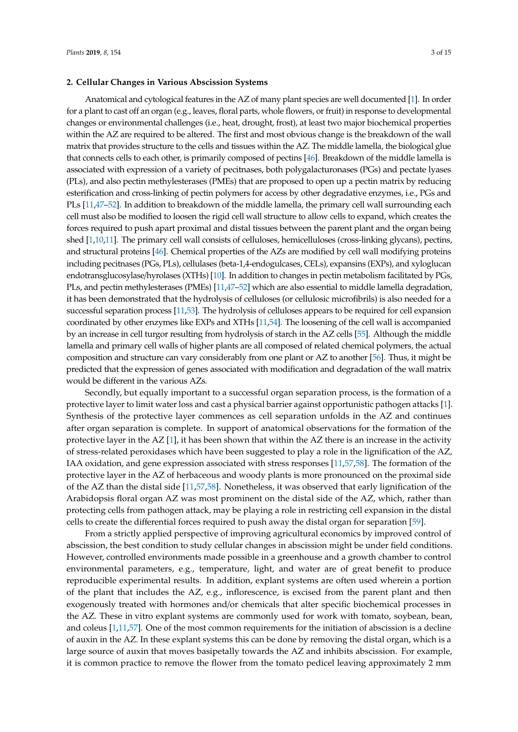#### **2. Cellular Changes in Various Abscission Systems**

Anatomical and cytological features in the AZ of many plant species are well documented [\[1\]](#page-9-0). In order for a plant to cast off an organ (e.g., leaves, floral parts, whole flowers, or fruit) in response to developmental changes or environmental challenges (i.e., heat, drought, frost), at least two major biochemical properties within the AZ are required to be altered. The first and most obvious change is the breakdown of the wall matrix that provides structure to the cells and tissues within the AZ. The middle lamella, the biological glue that connects cells to each other, is primarily composed of pectins [\[46\]](#page-11-1). Breakdown of the middle lamella is associated with expression of a variety of pecitnases, both polygalacturonases (PGs) and pectate lyases (PLs), and also pectin methylesterases (PMEs) that are proposed to open up a pectin matrix by reducing esterification and cross-linking of pectin polymers for access by other degradative enzymes, i.e., PGs and PLs [\[11,](#page-9-13)[47](#page-11-2)[–52\]](#page-11-3). In addition to breakdown of the middle lamella, the primary cell wall surrounding each cell must also be modified to loosen the rigid cell wall structure to allow cells to expand, which creates the forces required to push apart proximal and distal tissues between the parent plant and the organ being shed [\[1](#page-9-0)[,10](#page-9-6)[,11\]](#page-9-13). The primary cell wall consists of celluloses, hemicelluloses (cross-linking glycans), pectins, and structural proteins [\[46\]](#page-11-1). Chemical properties of the AZs are modified by cell wall modifying proteins including pecitnases (PGs, PLs), cellulases (beta-1,4-endogulcases, CELs), expansins (EXPs), and xyloglucan endotransglucosylase/hyrolases (XTHs) [\[10\]](#page-9-6). In addition to changes in pectin metabolism facilitated by PGs, PLs, and pectin methylesterases (PMEs) [\[11,](#page-9-13)[47](#page-11-2)[–52\]](#page-11-3) which are also essential to middle lamella degradation, it has been demonstrated that the hydrolysis of celluloses (or cellulosic microfibrils) is also needed for a successful separation process [\[11](#page-9-13)[,53\]](#page-11-4). The hydrolysis of celluloses appears to be required for cell expansion coordinated by other enzymes like EXPs and XTHs [\[11,](#page-9-13)[54\]](#page-11-5). The loosening of the cell wall is accompanied by an increase in cell turgor resulting from hydrolysis of starch in the AZ cells [\[55\]](#page-11-6). Although the middle lamella and primary cell walls of higher plants are all composed of related chemical polymers, the actual composition and structure can vary considerably from one plant or AZ to another [\[56\]](#page-11-7). Thus, it might be predicted that the expression of genes associated with modification and degradation of the wall matrix would be different in the various AZs.

Secondly, but equally important to a successful organ separation process, is the formation of a protective layer to limit water loss and cast a physical barrier against opportunistic pathogen attacks [\[1\]](#page-9-0). Synthesis of the protective layer commences as cell separation unfolds in the AZ and continues after organ separation is complete. In support of anatomical observations for the formation of the protective layer in the AZ [\[1\]](#page-9-0), it has been shown that within the AZ there is an increase in the activity of stress-related peroxidases which have been suggested to play a role in the lignification of the AZ, IAA oxidation, and gene expression associated with stress responses [\[11](#page-9-13)[,57](#page-11-8)[,58\]](#page-11-9). The formation of the protective layer in the AZ of herbaceous and woody plants is more pronounced on the proximal side of the AZ than the distal side [\[11,](#page-9-13)[57,](#page-11-8)[58\]](#page-11-9). Nonetheless, it was observed that early lignification of the Arabidopsis floral organ AZ was most prominent on the distal side of the AZ, which, rather than protecting cells from pathogen attack, may be playing a role in restricting cell expansion in the distal cells to create the differential forces required to push away the distal organ for separation [\[59\]](#page-11-10).

From a strictly applied perspective of improving agricultural economics by improved control of abscission, the best condition to study cellular changes in abscission might be under field conditions. However, controlled environments made possible in a greenhouse and a growth chamber to control environmental parameters, e.g., temperature, light, and water are of great benefit to produce reproducible experimental results. In addition, explant systems are often used wherein a portion of the plant that includes the AZ, e.g., inflorescence, is excised from the parent plant and then exogenously treated with hormones and/or chemicals that alter specific biochemical processes in the AZ. These in vitro explant systems are commonly used for work with tomato, soybean, bean, and coleus [\[1,](#page-9-0)[11,](#page-9-13)[57\]](#page-11-8). One of the most common requirements for the initiation of abscission is a decline of auxin in the AZ. In these explant systems this can be done by removing the distal organ, which is a large source of auxin that moves basipetally towards the AZ and inhibits abscission. For example, it is common practice to remove the flower from the tomato pedicel leaving approximately 2 mm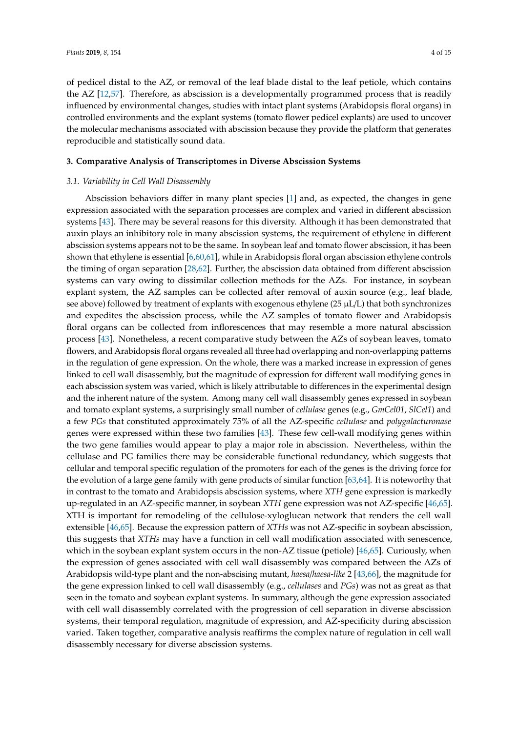of pedicel distal to the AZ, or removal of the leaf blade distal to the leaf petiole, which contains the AZ [\[12,](#page-9-12)[57\]](#page-11-8). Therefore, as abscission is a developmentally programmed process that is readily influenced by environmental changes, studies with intact plant systems (Arabidopsis floral organs) in controlled environments and the explant systems (tomato flower pedicel explants) are used to uncover the molecular mechanisms associated with abscission because they provide the platform that generates reproducible and statistically sound data.

# **3. Comparative Analysis of Transcriptomes in Diverse Abscission Systems**

#### *3.1. Variability in Cell Wall Disassembly*

Abscission behaviors differ in many plant species [\[1\]](#page-9-0) and, as expected, the changes in gene expression associated with the separation processes are complex and varied in different abscission systems [\[43\]](#page-11-11). There may be several reasons for this diversity. Although it has been demonstrated that auxin plays an inhibitory role in many abscission systems, the requirement of ethylene in different abscission systems appears not to be the same. In soybean leaf and tomato flower abscission, it has been shown that ethylene is essential [\[6](#page-9-10)[,60,](#page-11-12)[61\]](#page-11-13), while in Arabidopsis floral organ abscission ethylene controls the timing of organ separation [\[28](#page-10-6)[,62\]](#page-11-14). Further, the abscission data obtained from different abscission systems can vary owing to dissimilar collection methods for the AZs. For instance, in soybean explant system, the AZ samples can be collected after removal of auxin source (e.g., leaf blade, see above) followed by treatment of explants with exogenous ethylene (25 µL/L) that both synchronizes and expedites the abscission process, while the AZ samples of tomato flower and Arabidopsis floral organs can be collected from inflorescences that may resemble a more natural abscission process [\[43\]](#page-11-11). Nonetheless, a recent comparative study between the AZs of soybean leaves, tomato flowers, and Arabidopsis floral organs revealed all three had overlapping and non-overlapping patterns in the regulation of gene expression. On the whole, there was a marked increase in expression of genes linked to cell wall disassembly, but the magnitude of expression for different wall modifying genes in each abscission system was varied, which is likely attributable to differences in the experimental design and the inherent nature of the system. Among many cell wall disassembly genes expressed in soybean and tomato explant systems, a surprisingly small number of *cellulase* genes (e.g., *GmCel01*, *SlCel1*) and a few *PGs* that constituted approximately 75% of all the AZ-specific *cellulase* and *polygalacturonase* genes were expressed within these two families [\[43\]](#page-11-11). These few cell-wall modifying genes within the two gene families would appear to play a major role in abscission. Nevertheless, within the cellulase and PG families there may be considerable functional redundancy, which suggests that cellular and temporal specific regulation of the promoters for each of the genes is the driving force for the evolution of a large gene family with gene products of similar function [\[63](#page-11-15)[,64\]](#page-12-0). It is noteworthy that in contrast to the tomato and Arabidopsis abscission systems, where *XTH* gene expression is markedly up-regulated in an AZ-specific manner, in soybean *XTH* gene expression was not AZ-specific [\[46,](#page-11-1)[65\]](#page-12-1). XTH is important for remodeling of the cellulose-xyloglucan network that renders the cell wall extensible [\[46,](#page-11-1)[65\]](#page-12-1). Because the expression pattern of *XTHs* was not AZ-specific in soybean abscission, this suggests that *XTHs* may have a function in cell wall modification associated with senescence, which in the soybean explant system occurs in the non-AZ tissue (petiole) [\[46](#page-11-1)[,65\]](#page-12-1). Curiously, when the expression of genes associated with cell wall disassembly was compared between the AZs of Arabidopsis wild-type plant and the non-abscising mutant, *haesa*/*haesa*-*like* 2 [\[43,](#page-11-11)[66\]](#page-12-2), the magnitude for the gene expression linked to cell wall disassembly (e.g., *cellulases* and *PGs*) was not as great as that seen in the tomato and soybean explant systems. In summary, although the gene expression associated with cell wall disassembly correlated with the progression of cell separation in diverse abscission systems, their temporal regulation, magnitude of expression, and AZ-specificity during abscission varied. Taken together, comparative analysis reaffirms the complex nature of regulation in cell wall disassembly necessary for diverse abscission systems.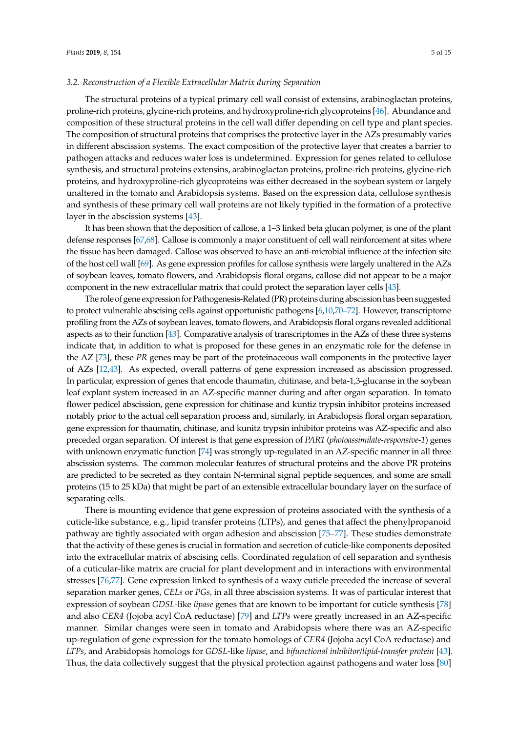#### *3.2. Reconstruction of a Flexible Extracellular Matrix during Separation*

The structural proteins of a typical primary cell wall consist of extensins, arabinoglactan proteins, proline-rich proteins, glycine-rich proteins, and hydroxyproline-rich glycoproteins [\[46\]](#page-11-1). Abundance and composition of these structural proteins in the cell wall differ depending on cell type and plant species. The composition of structural proteins that comprises the protective layer in the AZs presumably varies in different abscission systems. The exact composition of the protective layer that creates a barrier to pathogen attacks and reduces water loss is undetermined. Expression for genes related to cellulose synthesis, and structural proteins extensins, arabinoglactan proteins, proline-rich proteins, glycine-rich proteins, and hydroxyproline-rich glycoproteins was either decreased in the soybean system or largely unaltered in the tomato and Arabidopsis systems. Based on the expression data, cellulose synthesis and synthesis of these primary cell wall proteins are not likely typified in the formation of a protective layer in the abscission systems [\[43\]](#page-11-11).

It has been shown that the deposition of callose, a 1–3 linked beta glucan polymer, is one of the plant defense responses [\[67](#page-12-3)[,68\]](#page-12-4). Callose is commonly a major constituent of cell wall reinforcement at sites where the tissue has been damaged. Callose was observed to have an anti-microbial influence at the infection site of the host cell wall [\[69\]](#page-12-5). As gene expression profiles for callose synthesis were largely unaltered in the AZs of soybean leaves, tomato flowers, and Arabidopsis floral organs, callose did not appear to be a major component in the new extracellular matrix that could protect the separation layer cells [\[43\]](#page-11-11).

The role of gene expression for Pathogenesis-Related (PR) proteins during abscission has been suggested to protect vulnerable abscising cells against opportunistic pathogens [\[6,](#page-9-10)[10,](#page-9-6)[70](#page-12-6)[–72\]](#page-12-7). However, transcriptome profiling from the AZs of soybean leaves, tomato flowers, and Arabidopsis floral organs revealed additional aspects as to their function [\[43\]](#page-11-11). Comparative analysis of transcriptomes in the AZs of these three systems indicate that, in addition to what is proposed for these genes in an enzymatic role for the defense in the AZ [\[73\]](#page-12-8), these *PR* genes may be part of the proteinaceous wall components in the protective layer of AZs [\[12,](#page-9-12)[43\]](#page-11-11). As expected, overall patterns of gene expression increased as abscission progressed. In particular, expression of genes that encode thaumatin, chitinase, and beta-1,3-glucanse in the soybean leaf explant system increased in an AZ-specific manner during and after organ separation. In tomato flower pedicel abscission, gene expression for chitinase and kuntiz trypsin inhibitor proteins increased notably prior to the actual cell separation process and, similarly, in Arabidopsis floral organ separation, gene expression for thaumatin, chitinase, and kunitz trypsin inhibitor proteins was AZ-specific and also preceded organ separation. Of interest is that gene expression of *PAR1* (*photoassimilate-responsive-1*) genes with unknown enzymatic function [\[74\]](#page-12-9) was strongly up-regulated in an AZ-specific manner in all three abscission systems. The common molecular features of structural proteins and the above PR proteins are predicted to be secreted as they contain N-terminal signal peptide sequences, and some are small proteins (15 to 25 kDa) that might be part of an extensible extracellular boundary layer on the surface of separating cells.

There is mounting evidence that gene expression of proteins associated with the synthesis of a cuticle-like substance, e.g., lipid transfer proteins (LTPs), and genes that affect the phenylpropanoid pathway are tightly associated with organ adhesion and abscission [\[75–](#page-12-10)[77\]](#page-12-11). These studies demonstrate that the activity of these genes is crucial in formation and secretion of cuticle-like components deposited into the extracellular matrix of abscising cells. Coordinated regulation of cell separation and synthesis of a cuticular-like matrix are crucial for plant development and in interactions with environmental stresses [\[76,](#page-12-12)[77\]](#page-12-11). Gene expression linked to synthesis of a waxy cuticle preceded the increase of several separation marker genes, *CELs* or *PGs,* in all three abscission systems. It was of particular interest that expression of soybean *GDSL*-like *lipase* genes that are known to be important for cuticle synthesis [\[78\]](#page-12-13) and also *CER4* (Jojoba acyl CoA reductase) [\[79\]](#page-12-14) and *LTPs* were greatly increased in an AZ-specific manner. Similar changes were seen in tomato and Arabidopsis where there was an AZ-specific up-regulation of gene expression for the tomato homologs of *CER4* (Jojoba acyl CoA reductase) and *LTPs*, and Arabidopsis homologs for *GDSL*-like *lipase*, and *bifunctional inhibitor*/*lipid*-*transfer protein* [\[43\]](#page-11-11). Thus, the data collectively suggest that the physical protection against pathogens and water loss [\[80\]](#page-12-15)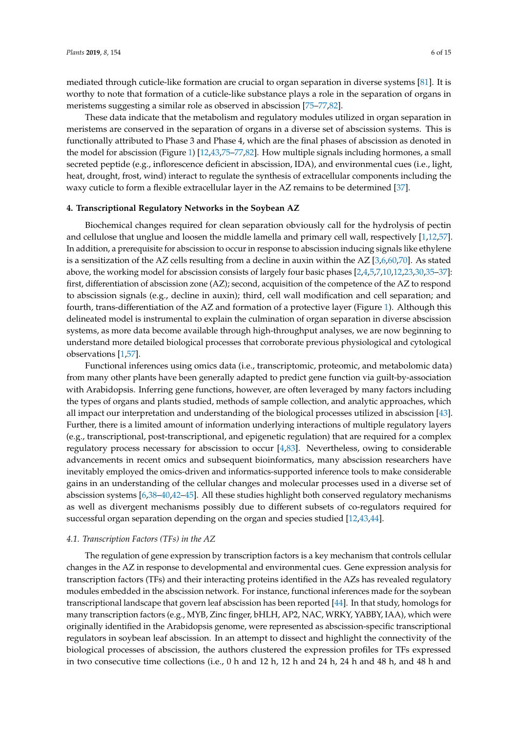mediated through cuticle-like formation are crucial to organ separation in diverse systems [\[81\]](#page-12-16). It is worthy to note that formation of a cuticle-like substance plays a role in the separation of organs in meristems suggesting a similar role as observed in abscission [\[75](#page-12-10)[–77,](#page-12-11)[82\]](#page-12-17).

These data indicate that the metabolism and regulatory modules utilized in organ separation in meristems are conserved in the separation of organs in a diverse set of abscission systems. This is functionally attributed to Phase 3 and Phase 4, which are the final phases of abscission as denoted in the model for abscission (Figure [1\)](#page-1-0) [\[12](#page-9-12)[,43](#page-11-11)[,75–](#page-12-10)[77,](#page-12-11)[82\]](#page-12-17). How multiple signals including hormones, a small secreted peptide (e.g., inflorescence deficient in abscission, IDA), and environmental cues (i.e., light, heat, drought, frost, wind) interact to regulate the synthesis of extracellular components including the waxy cuticle to form a flexible extracellular layer in the AZ remains to be determined [\[37\]](#page-10-4).

#### **4. Transcriptional Regulatory Networks in the Soybean AZ**

Biochemical changes required for clean separation obviously call for the hydrolysis of pectin and cellulose that unglue and loosen the middle lamella and primary cell wall, respectively [\[1,](#page-9-0)[12,](#page-9-12)[57\]](#page-11-8). In addition, a prerequisite for abscission to occur in response to abscission inducing signals like ethylene is a sensitization of the AZ cells resulting from a decline in auxin within the AZ [\[3,](#page-9-8)[6,](#page-9-10)[60](#page-11-12)[,70\]](#page-12-6). As stated above, the working model for abscission consists of largely four basic phases [\[2,](#page-9-1)[4,](#page-9-5)[5](#page-9-9)[,7](#page-9-2)[,10](#page-9-6)[,12,](#page-9-12)[23,](#page-10-1)[30](#page-10-2)[,35](#page-10-3)[–37\]](#page-10-4): first, differentiation of abscission zone (AZ); second, acquisition of the competence of the AZ to respond to abscission signals (e.g., decline in auxin); third, cell wall modification and cell separation; and fourth, trans-differentiation of the AZ and formation of a protective layer (Figure [1\)](#page-1-0). Although this delineated model is instrumental to explain the culmination of organ separation in diverse abscission systems, as more data become available through high-throughput analyses, we are now beginning to understand more detailed biological processes that corroborate previous physiological and cytological observations [\[1](#page-9-0)[,57\]](#page-11-8).

Functional inferences using omics data (i.e., transcriptomic, proteomic, and metabolomic data) from many other plants have been generally adapted to predict gene function via guilt-by-association with Arabidopsis. Inferring gene functions, however, are often leveraged by many factors including the types of organs and plants studied, methods of sample collection, and analytic approaches, which all impact our interpretation and understanding of the biological processes utilized in abscission [\[43\]](#page-11-11). Further, there is a limited amount of information underlying interactions of multiple regulatory layers (e.g., transcriptional, post-transcriptional, and epigenetic regulation) that are required for a complex regulatory process necessary for abscission to occur [\[4](#page-9-5)[,83\]](#page-12-18). Nevertheless, owing to considerable advancements in recent omics and subsequent bioinformatics, many abscission researchers have inevitably employed the omics-driven and informatics-supported inference tools to make considerable gains in an understanding of the cellular changes and molecular processes used in a diverse set of abscission systems [\[6,](#page-9-10)[38](#page-10-5)[–40](#page-10-7)[,42–](#page-11-16)[45\]](#page-11-0). All these studies highlight both conserved regulatory mechanisms as well as divergent mechanisms possibly due to different subsets of co-regulators required for successful organ separation depending on the organ and species studied [\[12](#page-9-12)[,43](#page-11-11)[,44\]](#page-11-17).

#### *4.1. Transcription Factors (TFs) in the AZ*

The regulation of gene expression by transcription factors is a key mechanism that controls cellular changes in the AZ in response to developmental and environmental cues. Gene expression analysis for transcription factors (TFs) and their interacting proteins identified in the AZs has revealed regulatory modules embedded in the abscission network. For instance, functional inferences made for the soybean transcriptional landscape that govern leaf abscission has been reported [\[44\]](#page-11-17). In that study, homologs for many transcription factors (e.g., MYB, Zinc finger, bHLH, AP2, NAC, WRKY, YABBY, IAA), which were originally identified in the Arabidopsis genome, were represented as abscission-specific transcriptional regulators in soybean leaf abscission. In an attempt to dissect and highlight the connectivity of the biological processes of abscission, the authors clustered the expression profiles for TFs expressed in two consecutive time collections (i.e., 0 h and 12 h, 12 h and 24 h, 24 h and 48 h, and 48 h and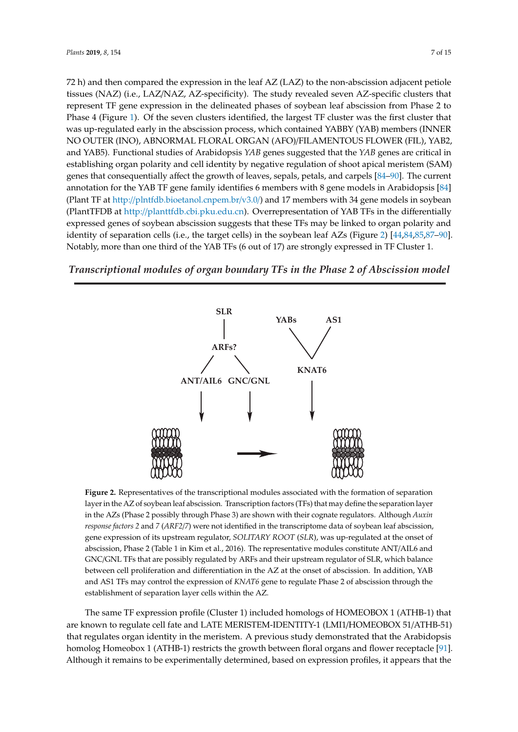72 h) and then compared the expression in the leaf  $AZ$  (LAZ) to the non-abscission adjacent petiole tissues (NAZ) (i.e., LAZ/NAZ, AZ-specificity). The study revealed seven AZ-specific clusters that represent TF gene expression in the delineated phases of soybean leaf abscission from Phase 2 to Phase 4 (Figure [1\)](#page-1-0). Of the seven clusters identified, the largest TF cluster was the first cluster that was up-regulated early in the abscission process, which contained YABBY (YAB) members (INNER NO OUTER (INO), ABNORMAL FLORAL ORGAN (AFO)/FILAMENTOUS FLOWER (FIL), YAB2, and YAB5). Functional studies of Arabidopsis *YAB* genes suggested that the *YAB* genes are critical in establishing organ polarity and cell identity by negative regulation of shoot apical meristem (SAM) genes that consequentially affect the growth of leaves, sepals, petals, and carpels [\[84–](#page-12-19)[90\]](#page-13-0). The current annotation for the YAB TF gene family identifies 6 members with 8 gene models in Arabidopsis [\[84\]](#page-12-19)  $\,$ (Plant TF at http://plntf[db.bioetanol.cnpem.br/v3.0/\) and 17](http://plntfdb.bioetanol.cnpem.br/v3.0/) members with 34 gene models in soybean (PlantTFDB at http://planttfdb.cbi.pku.edu.cn). Overrepresentation of YAB TFs in the differentially (PlantTFDB a[t http://planttfdb.cbi.pku.edu.cn](http://planttfdb.cbi.pku.edu.cn)). Overrepresentation of YAB TFs in the differentially expressed genes of soybean abscission suggests that these TFs may be linked to organ polarity and expressed genes of soybean abscission suggests that these TFs may be linked to organ polarity and identity of separation cells (i.e., the target cells) in the soybean leaf AZs (Figure [2\)](#page-6-0) [\[44,](#page-11-17)[84,](#page-12-19)[85,](#page-12-20)[87–](#page-13-1)[90\]](#page-13-0). identity of separation cells (i.e., the target cells) in the soybean leaf AZs (Figure 2) [44,84,85,87–90]. Notably, more than one third of the YAB TFs (6 out of 17) are strongly expressed in TF Cluster 1. Notably, more than one third of the YAB TFs (6 out of 17) are strongly expressed in TF Cluster 1.

# <span id="page-6-0"></span>*Transcriptional modules of organ boundary TFs in the Phase 2 of Abscission model*



**Figure 2.** Representatives of the transcriptional modules associated with the formation of separation **Figure 2.** Representatives of the transcriptional modules associated with the formation of separation layer in the AZ of soybean leaf abscission. Transcription factors (TFs) that may define the separation layer in the AZ of soybean leaf abscission. Transcription factors (TFs) that may define the separation layer in the AZs (Phase 2 possibly through Phase 3) are shown with their cognate regulators. Although *Auxin* response factors 2 and 7 (ARF2/7) were not identified in the transcriptome data of soybean leaf abscission, gene expression of its upstream regulator, *SOLITARY ROOT* (*SLR*), was up-regulated at the onset of abscission, Phase 2 (Table 1 in Kim et al., 2016). The representative modules constitute ANT/AIL6 and modules constitute ANT/AIL6 and GNC/GNL TFs that are possibly regulated by ARFs and their GNC/GNL TFs that are possibly regulated by ARFs and their upstream regulator of SLR, which balance  $U_{\text{max}}$  and regulator of SLR, which balance between cell produce between  $V_{\text{max}}$  and differentiation in the AZ at a the AZ at at a the AZ at a differentiation in the AZ at a differentiation in the AZ at a differentiat between cell proliferation and differentiation in the AZ at the onset of abscission. In addition, YAB<br>between cell proliferation and differentiation in the AZ at the onset of abscission. In addition, YAB and AS1 TFs may control the expression of *KNAT6* gene to regulate Phase 2 of abscission through the establishment of separation layer cells within the AZ.

The same TF expression profile (Cluster 1) included homologs of HOMEOBOX 1 (ATHB-1) that The same TF expression profile (Cluster 1) included homologs of HOMEOBOX 1 (ATHB-1) that are known to regulate cell fate and LATE MERISTEM-IDENTITY-1 (LMI1/HOMEOBOX are known to regulate cell fate and LATE MERISTEM-IDENTITY-1 (LMI1/HOMEOBOX 51/ATHB-51) that regulates organ identity in the meristem. A previous study demonstrated that the Arabidopsis that regulates organ identity in the meristem. A previous study demonstrated that the Arabidopsis Arabidopsis homolog Homeobox 1 (ATHB-1) restricts the growth between floral organs and flower homolog Homeobox 1 (ATHB-1) restricts the growth between floral organs and flower receptacle [\[91\]](#page-13-2). receptacle  $\mu$  . Although it remains to be experimentally determined, based on expression profiles, it remains to be experimentally determined, based on expression profiles, it remains that the Although it remains to be experimentally determined, based on expression profiles, it appears that the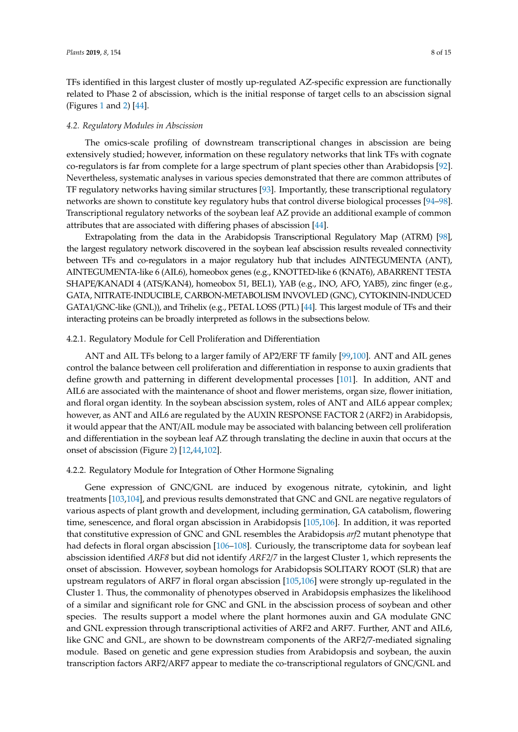TFs identified in this largest cluster of mostly up-regulated AZ-specific expression are functionally related to Phase 2 of abscission, which is the initial response of target cells to an abscission signal (Figures [1](#page-1-0) and [2\)](#page-6-0) [\[44\]](#page-11-17).

#### *4.2. Regulatory Modules in Abscission*

The omics-scale profiling of downstream transcriptional changes in abscission are being extensively studied; however, information on these regulatory networks that link TFs with cognate co-regulators is far from complete for a large spectrum of plant species other than Arabidopsis [\[92\]](#page-13-3). Nevertheless, systematic analyses in various species demonstrated that there are common attributes of TF regulatory networks having similar structures [\[93\]](#page-13-4). Importantly, these transcriptional regulatory networks are shown to constitute key regulatory hubs that control diverse biological processes [\[94–](#page-13-5)[98\]](#page-13-6). Transcriptional regulatory networks of the soybean leaf AZ provide an additional example of common attributes that are associated with differing phases of abscission [\[44\]](#page-11-17).

Extrapolating from the data in the Arabidopsis Transcriptional Regulatory Map (ATRM) [\[98\]](#page-13-6), the largest regulatory network discovered in the soybean leaf abscission results revealed connectivity between TFs and co-regulators in a major regulatory hub that includes AINTEGUMENTA (ANT), AINTEGUMENTA-like 6 (AIL6), homeobox genes (e.g., KNOTTED-like 6 (KNAT6), ABARRENT TESTA SHAPE/KANADI 4 (ATS/KAN4), homeobox 51, BEL1), YAB (e.g., INO, AFO, YAB5), zinc finger (e.g., GATA, NITRATE-INDUCIBLE, CARBON-METABOLISM INVOVLED (GNC), CYTOKININ-INDUCED GATA1/GNC-like (GNL)), and Trihelix (e.g., PETAL LOSS (PTL) [\[44\]](#page-11-17). This largest module of TFs and their interacting proteins can be broadly interpreted as follows in the subsections below.

#### 4.2.1. Regulatory Module for Cell Proliferation and Differentiation

ANT and AIL TFs belong to a larger family of AP2/ERF TF family [\[99](#page-13-7)[,100\]](#page-13-8). ANT and AIL genes control the balance between cell proliferation and differentiation in response to auxin gradients that define growth and patterning in different developmental processes [\[101\]](#page-13-9). In addition, ANT and AIL6 are associated with the maintenance of shoot and flower meristems, organ size, flower initiation, and floral organ identity. In the soybean abscission system, roles of ANT and AIL6 appear complex; however, as ANT and AIL6 are regulated by the AUXIN RESPONSE FACTOR 2 (ARF2) in Arabidopsis, it would appear that the ANT/AIL module may be associated with balancing between cell proliferation and differentiation in the soybean leaf AZ through translating the decline in auxin that occurs at the onset of abscission (Figure [2\)](#page-6-0) [\[12](#page-9-12)[,44,](#page-11-17)[102\]](#page-13-10).

#### 4.2.2. Regulatory Module for Integration of Other Hormone Signaling

Gene expression of GNC/GNL are induced by exogenous nitrate, cytokinin, and light treatments [\[103,](#page-13-11)[104\]](#page-13-12), and previous results demonstrated that GNC and GNL are negative regulators of various aspects of plant growth and development, including germination, GA catabolism, flowering time, senescence, and floral organ abscission in Arabidopsis [\[105](#page-13-13)[,106\]](#page-13-14). In addition, it was reported that constitutive expression of GNC and GNL resembles the Arabidopsis *arf2* mutant phenotype that had defects in floral organ abscission [\[106–](#page-13-14)[108\]](#page-14-0). Curiously, the transcriptome data for soybean leaf abscission identified *ARF8* but did not identify *ARF2*/*7* in the largest Cluster 1, which represents the onset of abscission. However, soybean homologs for Arabidopsis SOLITARY ROOT (SLR) that are upstream regulators of ARF7 in floral organ abscission [\[105,](#page-13-13)[106\]](#page-13-14) were strongly up-regulated in the Cluster 1. Thus, the commonality of phenotypes observed in Arabidopsis emphasizes the likelihood of a similar and significant role for GNC and GNL in the abscission process of soybean and other species. The results support a model where the plant hormones auxin and GA modulate GNC and GNL expression through transcriptional activities of ARF2 and ARF7. Further, ANT and AIL6, like GNC and GNL, are shown to be downstream components of the ARF2/7-mediated signaling module. Based on genetic and gene expression studies from Arabidopsis and soybean, the auxin transcription factors ARF2/ARF7 appear to mediate the co-transcriptional regulators of GNC/GNL and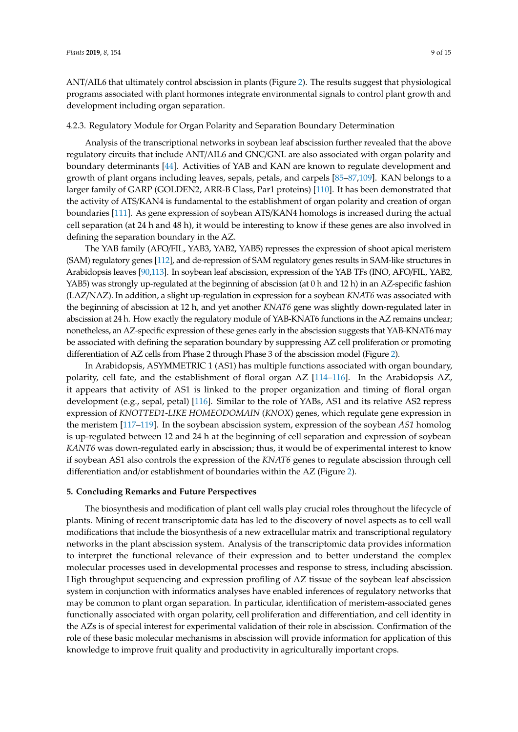ANT/AIL6 that ultimately control abscission in plants (Figure [2\)](#page-6-0). The results suggest that physiological programs associated with plant hormones integrate environmental signals to control plant growth and development including organ separation.

#### 4.2.3. Regulatory Module for Organ Polarity and Separation Boundary Determination

Analysis of the transcriptional networks in soybean leaf abscission further revealed that the above regulatory circuits that include ANT/AIL6 and GNC/GNL are also associated with organ polarity and boundary determinants [\[44\]](#page-11-17). Activities of YAB and KAN are known to regulate development and growth of plant organs including leaves, sepals, petals, and carpels [\[85](#page-12-20)[–87,](#page-13-1)[109\]](#page-14-1). KAN belongs to a larger family of GARP (GOLDEN2, ARR-B Class, Par1 proteins) [\[110\]](#page-14-2). It has been demonstrated that the activity of ATS/KAN4 is fundamental to the establishment of organ polarity and creation of organ boundaries [\[111\]](#page-14-3). As gene expression of soybean ATS/KAN4 homologs is increased during the actual cell separation (at 24 h and 48 h), it would be interesting to know if these genes are also involved in defining the separation boundary in the AZ.

The YAB family (AFO/FIL, YAB3, YAB2, YAB5) represses the expression of shoot apical meristem (SAM) regulatory genes [\[112\]](#page-14-4), and de-repression of SAM regulatory genes results in SAM-like structures in Arabidopsis leaves [\[90](#page-13-0)[,113\]](#page-14-5). In soybean leaf abscission, expression of the YAB TFs (INO, AFO/FIL, YAB2, YAB5) was strongly up-regulated at the beginning of abscission (at 0 h and 12 h) in an AZ-specific fashion (LAZ/NAZ). In addition, a slight up-regulation in expression for a soybean *KNAT6* was associated with the beginning of abscission at 12 h, and yet another *KNAT6* gene was slightly down-regulated later in abscission at 24 h. How exactly the regulatory module of YAB-KNAT6 functions in the AZ remains unclear; nonetheless, an AZ-specific expression of these genes early in the abscission suggests that YAB-KNAT6 may be associated with defining the separation boundary by suppressing AZ cell proliferation or promoting differentiation of AZ cells from Phase 2 through Phase 3 of the abscission model (Figure [2\)](#page-6-0).

In Arabidopsis, ASYMMETRIC 1 (AS1) has multiple functions associated with organ boundary, polarity, cell fate, and the establishment of floral organ AZ [\[114–](#page-14-6)[116\]](#page-14-7). In the Arabidopsis AZ, it appears that activity of AS1 is linked to the proper organization and timing of floral organ development (e.g., sepal, petal) [\[116\]](#page-14-7). Similar to the role of YABs, AS1 and its relative AS2 repress expression of *KNOTTED1-LIKE HOMEODOMAIN* (*KNOX*) genes, which regulate gene expression in the meristem [\[117](#page-14-8)[–119\]](#page-14-9). In the soybean abscission system, expression of the soybean *AS1* homolog is up-regulated between 12 and 24 h at the beginning of cell separation and expression of soybean *KANT6* was down-regulated early in abscission; thus, it would be of experimental interest to know if soybean AS1 also controls the expression of the *KNAT6* genes to regulate abscission through cell differentiation and/or establishment of boundaries within the AZ (Figure [2\)](#page-6-0).

#### **5. Concluding Remarks and Future Perspectives**

The biosynthesis and modification of plant cell walls play crucial roles throughout the lifecycle of plants. Mining of recent transcriptomic data has led to the discovery of novel aspects as to cell wall modifications that include the biosynthesis of a new extracellular matrix and transcriptional regulatory networks in the plant abscission system. Analysis of the transcriptomic data provides information to interpret the functional relevance of their expression and to better understand the complex molecular processes used in developmental processes and response to stress, including abscission. High throughput sequencing and expression profiling of AZ tissue of the soybean leaf abscission system in conjunction with informatics analyses have enabled inferences of regulatory networks that may be common to plant organ separation. In particular, identification of meristem-associated genes functionally associated with organ polarity, cell proliferation and differentiation, and cell identity in the AZs is of special interest for experimental validation of their role in abscission. Confirmation of the role of these basic molecular mechanisms in abscission will provide information for application of this knowledge to improve fruit quality and productivity in agriculturally important crops.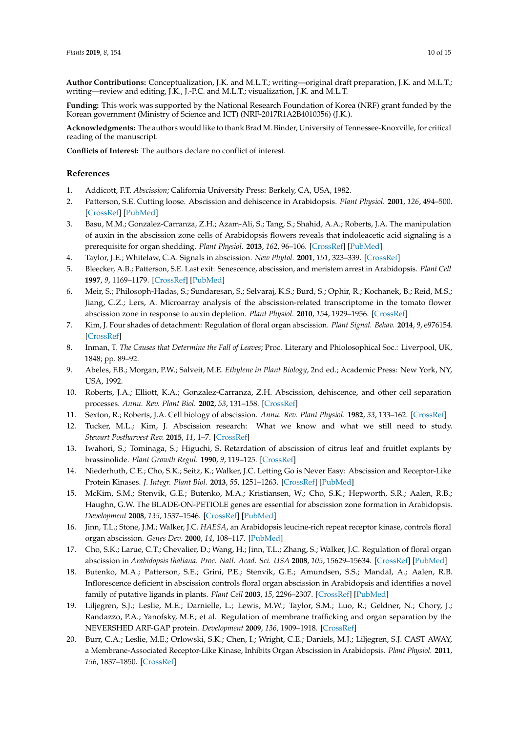**Author Contributions:** Conceptualization, J.K. and M.L.T.; writing—original draft preparation, J.K. and M.L.T.; writing—review and editing, J.K., J.-P.C. and M.L.T.; visualization, J.K. and M.L.T.

**Funding:** This work was supported by the National Research Foundation of Korea (NRF) grant funded by the Korean government (Ministry of Science and ICT) (NRF-2017R1A2B4010356) (J.K.).

**Acknowledgments:** The authors would like to thank Brad M. Binder, University of Tennessee-Knoxville, for critical reading of the manuscript.

**Conflicts of Interest:** The authors declare no conflict of interest.

### **References**

- <span id="page-9-0"></span>1. Addicott, F.T. *Abscission*; California University Press: Berkely, CA, USA, 1982.
- <span id="page-9-1"></span>2. Patterson, S.E. Cutting loose. Abscission and dehiscence in Arabidopsis. *Plant Physiol.* **2001**, *126*, 494–500. [\[CrossRef\]](http://dx.doi.org/10.1104/pp.126.2.494) [\[PubMed\]](http://www.ncbi.nlm.nih.gov/pubmed/11402180)
- <span id="page-9-8"></span>3. Basu, M.M.; Gonzalez-Carranza, Z.H.; Azam-Ali, S.; Tang, S.; Shahid, A.A.; Roberts, J.A. The manipulation of auxin in the abscission zone cells of Arabidopsis flowers reveals that indoleacetic acid signaling is a prerequisite for organ shedding. *Plant Physiol.* **2013**, *162*, 96–106. [\[CrossRef\]](http://dx.doi.org/10.1104/pp.113.216234) [\[PubMed\]](http://www.ncbi.nlm.nih.gov/pubmed/23509178)
- <span id="page-9-5"></span>4. Taylor, J.E.; Whitelaw, C.A. Signals in abscission. *New Phytol.* **2001**, *151*, 323–339. [\[CrossRef\]](http://dx.doi.org/10.1046/j.0028-646x.2001.00194.x)
- <span id="page-9-9"></span>5. Bleecker, A.B.; Patterson, S.E. Last exit: Senescence, abscission, and meristem arrest in Arabidopsis. *Plant Cell* **1997**, *9*, 1169–1179. [\[CrossRef\]](http://dx.doi.org/10.1105/tpc.9.7.1169) [\[PubMed\]](http://www.ncbi.nlm.nih.gov/pubmed/9254934)
- <span id="page-9-10"></span>6. Meir, S.; Philosoph-Hadas, S.; Sundaresan, S.; Selvaraj, K.S.; Burd, S.; Ophir, R.; Kochanek, B.; Reid, M.S.; Jiang, C.Z.; Lers, A. Microarray analysis of the abscission-related transcriptome in the tomato flower abscission zone in response to auxin depletion. *Plant Physiol.* **2010**, *154*, 1929–1956. [\[CrossRef\]](http://dx.doi.org/10.1104/pp.110.160697)
- <span id="page-9-2"></span>7. Kim, J. Four shades of detachment: Regulation of floral organ abscission. *Plant Signal. Behav.* **2014**, *9*, e976154. [\[CrossRef\]](http://dx.doi.org/10.4161/15592324.2014.976154)
- <span id="page-9-3"></span>8. Inman, T. *The Causes that Determine the Fall of Leaves*; Proc. Literary and Phiolosophical Soc.: Liverpool, UK, 1848; pp. 89–92.
- <span id="page-9-4"></span>9. Abeles, F.B.; Morgan, P.W.; Salveit, M.E. *Ethylene in Plant Biology*, 2nd ed.; Academic Press: New York, NY, USA, 1992.
- <span id="page-9-6"></span>10. Roberts, J.A.; Elliott, K.A.; Gonzalez-Carranza, Z.H. Abscission, dehiscence, and other cell separation processes. *Annu. Rev. Plant Biol.* **2002**, *53*, 131–158. [\[CrossRef\]](http://dx.doi.org/10.1146/annurev.arplant.53.092701.180236)
- <span id="page-9-13"></span>11. Sexton, R.; Roberts, J.A. Cell biology of abscission. *Annu. Rev. Plant Physiol.* **1982**, *33*, 133–162. [\[CrossRef\]](http://dx.doi.org/10.1146/annurev.pp.33.060182.001025)
- <span id="page-9-12"></span>12. Tucker, M.L.; Kim, J. Abscission research: What we know and what we still need to study. *Stewart Postharvest Rev.* **2015**, *11*, 1–7. [\[CrossRef\]](http://dx.doi.org/10.2212/spr.2015.2.1)
- 13. Iwahori, S.; Tominaga, S.; Higuchi, S. Retardation of abscission of citrus leaf and fruitlet explants by brassinolide. *Plant Growth Regul.* **1990**, *9*, 119–125. [\[CrossRef\]](http://dx.doi.org/10.1007/BF00027439)
- <span id="page-9-7"></span>14. Niederhuth, C.E.; Cho, S.K.; Seitz, K.; Walker, J.C. Letting Go is Never Easy: Abscission and Receptor-Like Protein Kinases. *J. Integr. Plant Biol.* **2013**, *55*, 1251–1263. [\[CrossRef\]](http://dx.doi.org/10.1111/jipb.12116) [\[PubMed\]](http://www.ncbi.nlm.nih.gov/pubmed/24138310)
- <span id="page-9-11"></span>15. McKim, S.M.; Stenvik, G.E.; Butenko, M.A.; Kristiansen, W.; Cho, S.K.; Hepworth, S.R.; Aalen, R.B.; Haughn, G.W. The BLADE-ON-PETIOLE genes are essential for abscission zone formation in Arabidopsis. *Development* **2008**, *135*, 1537–1546. [\[CrossRef\]](http://dx.doi.org/10.1242/dev.012807) [\[PubMed\]](http://www.ncbi.nlm.nih.gov/pubmed/18339677)
- 16. Jinn, T.L.; Stone, J.M.; Walker, J.C. *HAESA*, an Arabidopsis leucine-rich repeat receptor kinase, controls floral organ abscission. *Genes Dev.* **2000**, *14*, 108–117. [\[PubMed\]](http://www.ncbi.nlm.nih.gov/pubmed/10640280)
- 17. Cho, S.K.; Larue, C.T.; Chevalier, D.; Wang, H.; Jinn, T.L.; Zhang, S.; Walker, J.C. Regulation of floral organ abscission in *Arabidopsis thaliana*. *Proc. Natl. Acad. Sci. USA* **2008**, *105*, 15629–15634. [\[CrossRef\]](http://dx.doi.org/10.1073/pnas.0805539105) [\[PubMed\]](http://www.ncbi.nlm.nih.gov/pubmed/18809915)
- 18. Butenko, M.A.; Patterson, S.E.; Grini, P.E.; Stenvik, G.E.; Amundsen, S.S.; Mandal, A.; Aalen, R.B. Inflorescence deficient in abscission controls floral organ abscission in Arabidopsis and identifies a novel family of putative ligands in plants. *Plant Cell* **2003**, *15*, 2296–2307. [\[CrossRef\]](http://dx.doi.org/10.1105/tpc.014365) [\[PubMed\]](http://www.ncbi.nlm.nih.gov/pubmed/12972671)
- 19. Liljegren, S.J.; Leslie, M.E.; Darnielle, L.; Lewis, M.W.; Taylor, S.M.; Luo, R.; Geldner, N.; Chory, J.; Randazzo, P.A.; Yanofsky, M.F.; et al. Regulation of membrane trafficking and organ separation by the NEVERSHED ARF-GAP protein. *Development* **2009**, *136*, 1909–1918. [\[CrossRef\]](http://dx.doi.org/10.1242/dev.033605)
- 20. Burr, C.A.; Leslie, M.E.; Orlowski, S.K.; Chen, I.; Wright, C.E.; Daniels, M.J.; Liljegren, S.J. CAST AWAY, a Membrane-Associated Receptor-Like Kinase, Inhibits Organ Abscission in Arabidopsis. *Plant Physiol.* **2011**, *156*, 1837–1850. [\[CrossRef\]](http://dx.doi.org/10.1104/pp.111.175224)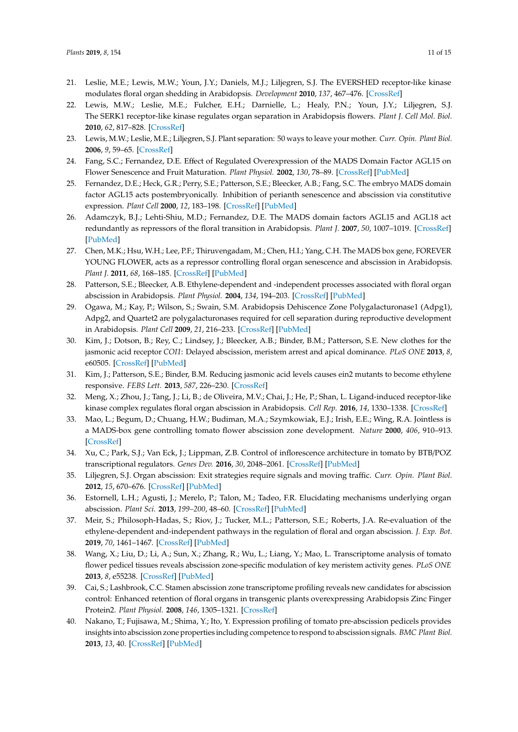- 21. Leslie, M.E.; Lewis, M.W.; Youn, J.Y.; Daniels, M.J.; Liljegren, S.J. The EVERSHED receptor-like kinase modulates floral organ shedding in Arabidopsis. *Development* **2010**, *137*, 467–476. [\[CrossRef\]](http://dx.doi.org/10.1242/dev.041335)
- 22. Lewis, M.W.; Leslie, M.E.; Fulcher, E.H.; Darnielle, L.; Healy, P.N.; Youn, J.Y.; Liljegren, S.J. The SERK1 receptor-like kinase regulates organ separation in Arabidopsis flowers. *Plant J. Cell Mol. Biol.* **2010**, *62*, 817–828. [\[CrossRef\]](http://dx.doi.org/10.1111/j.1365-313X.2010.04194.x)
- <span id="page-10-1"></span>23. Lewis, M.W.; Leslie, M.E.; Liljegren, S.J. Plant separation: 50 ways to leave your mother. *Curr. Opin. Plant Biol.* **2006**, *9*, 59–65. [\[CrossRef\]](http://dx.doi.org/10.1016/j.pbi.2005.11.009)
- 24. Fang, S.C.; Fernandez, D.E. Effect of Regulated Overexpression of the MADS Domain Factor AGL15 on Flower Senescence and Fruit Maturation. *Plant Physiol.* **2002**, *130*, 78–89. [\[CrossRef\]](http://dx.doi.org/10.1104/pp.004721) [\[PubMed\]](http://www.ncbi.nlm.nih.gov/pubmed/12226488)
- 25. Fernandez, D.E.; Heck, G.R.; Perry, S.E.; Patterson, S.E.; Bleecker, A.B.; Fang, S.C. The embryo MADS domain factor AGL15 acts postembryonically. Inhibition of perianth senescence and abscission via constitutive expression. *Plant Cell* **2000**, *12*, 183–198. [\[CrossRef\]](http://dx.doi.org/10.1105/tpc.12.2.183) [\[PubMed\]](http://www.ncbi.nlm.nih.gov/pubmed/10662856)
- 26. Adamczyk, B.J.; Lehti-Shiu, M.D.; Fernandez, D.E. The MADS domain factors AGL15 and AGL18 act redundantly as repressors of the floral transition in Arabidopsis. *Plant J.* **2007**, *50*, 1007–1019. [\[CrossRef\]](http://dx.doi.org/10.1111/j.1365-313X.2007.03105.x) [\[PubMed\]](http://www.ncbi.nlm.nih.gov/pubmed/17521410)
- 27. Chen, M.K.; Hsu, W.H.; Lee, P.F.; Thiruvengadam, M.; Chen, H.I.; Yang, C.H. The MADS box gene, FOREVER YOUNG FLOWER, acts as a repressor controlling floral organ senescence and abscission in Arabidopsis. *Plant J.* **2011**, *68*, 168–185. [\[CrossRef\]](http://dx.doi.org/10.1111/j.1365-313X.2011.04677.x) [\[PubMed\]](http://www.ncbi.nlm.nih.gov/pubmed/21689171)
- <span id="page-10-6"></span>28. Patterson, S.E.; Bleecker, A.B. Ethylene-dependent and -independent processes associated with floral organ abscission in Arabidopsis. *Plant Physiol.* **2004**, *134*, 194–203. [\[CrossRef\]](http://dx.doi.org/10.1104/pp.103.028027) [\[PubMed\]](http://www.ncbi.nlm.nih.gov/pubmed/14701913)
- 29. Ogawa, M.; Kay, P.; Wilson, S.; Swain, S.M. Arabidopsis Dehiscence Zone Polygalacturonase1 (Adpg1), Adpg2, and Quartet2 are polygalacturonases required for cell separation during reproductive development in Arabidopsis. *Plant Cell* **2009**, *21*, 216–233. [\[CrossRef\]](http://dx.doi.org/10.1105/tpc.108.063768) [\[PubMed\]](http://www.ncbi.nlm.nih.gov/pubmed/19168715)
- <span id="page-10-2"></span>30. Kim, J.; Dotson, B.; Rey, C.; Lindsey, J.; Bleecker, A.B.; Binder, B.M.; Patterson, S.E. New clothes for the jasmonic acid receptor *COI1*: Delayed abscission, meristem arrest and apical dominance. *PLoS ONE* **2013**, *8*, e60505. [\[CrossRef\]](http://dx.doi.org/10.1371/journal.pone.0060505) [\[PubMed\]](http://www.ncbi.nlm.nih.gov/pubmed/23573263)
- 31. Kim, J.; Patterson, S.E.; Binder, B.M. Reducing jasmonic acid levels causes ein2 mutants to become ethylene responsive. *FEBS Lett.* **2013**, *587*, 226–230. [\[CrossRef\]](http://dx.doi.org/10.1016/j.febslet.2012.11.030)
- 32. Meng, X.; Zhou, J.; Tang, J.; Li, B.; de Oliveira, M.V.; Chai, J.; He, P.; Shan, L. Ligand-induced receptor-like kinase complex regulates floral organ abscission in Arabidopsis. *Cell Rep.* **2016**, *14*, 1330–1338. [\[CrossRef\]](http://dx.doi.org/10.1016/j.celrep.2016.01.023)
- 33. Mao, L.; Begum, D.; Chuang, H.W.; Budiman, M.A.; Szymkowiak, E.J.; Irish, E.E.; Wing, R.A. Jointless is a MADS-box gene controlling tomato flower abscission zone development. *Nature* **2000**, *406*, 910–913. [\[CrossRef\]](http://dx.doi.org/10.1038/35022611)
- <span id="page-10-0"></span>34. Xu, C.; Park, S.J.; Van Eck, J.; Lippman, Z.B. Control of inflorescence architecture in tomato by BTB/POZ transcriptional regulators. *Genes Dev.* **2016**, *30*, 2048–2061. [\[CrossRef\]](http://dx.doi.org/10.1101/gad.288415.116) [\[PubMed\]](http://www.ncbi.nlm.nih.gov/pubmed/27798848)
- <span id="page-10-3"></span>35. Liljegren, S.J. Organ abscission: Exit strategies require signals and moving traffic. *Curr. Opin. Plant Biol.* **2012**, *15*, 670–676. [\[CrossRef\]](http://dx.doi.org/10.1016/j.pbi.2012.09.012) [\[PubMed\]](http://www.ncbi.nlm.nih.gov/pubmed/23047135)
- 36. Estornell, L.H.; Agusti, J.; Merelo, P.; Talon, M.; Tadeo, F.R. Elucidating mechanisms underlying organ abscission. *Plant Sci.* **2013**, *199–200*, 48–60. [\[CrossRef\]](http://dx.doi.org/10.1016/j.plantsci.2012.10.008) [\[PubMed\]](http://www.ncbi.nlm.nih.gov/pubmed/23265318)
- <span id="page-10-4"></span>37. Meir, S.; Philosoph-Hadas, S.; Riov, J.; Tucker, M.L.; Patterson, S.E.; Roberts, J.A. Re-evaluation of the ethylene-dependent and-independent pathways in the regulation of floral and organ abscission. *J. Exp. Bot.* **2019**, *70*, 1461–1467. [\[CrossRef\]](http://dx.doi.org/10.1093/jxb/erz038) [\[PubMed\]](http://www.ncbi.nlm.nih.gov/pubmed/30726930)
- <span id="page-10-5"></span>38. Wang, X.; Liu, D.; Li, A.; Sun, X.; Zhang, R.; Wu, L.; Liang, Y.; Mao, L. Transcriptome analysis of tomato flower pedicel tissues reveals abscission zone-specific modulation of key meristem activity genes. *PLoS ONE* **2013**, *8*, e55238. [\[CrossRef\]](http://dx.doi.org/10.1371/journal.pone.0055238) [\[PubMed\]](http://www.ncbi.nlm.nih.gov/pubmed/23390523)
- 39. Cai, S.; Lashbrook, C.C. Stamen abscission zone transcriptome profiling reveals new candidates for abscission control: Enhanced retention of floral organs in transgenic plants overexpressing Arabidopsis Zinc Finger Protein2. *Plant Physiol.* **2008**, *146*, 1305–1321. [\[CrossRef\]](http://dx.doi.org/10.1104/pp.107.110908)
- <span id="page-10-7"></span>40. Nakano, T.; Fujisawa, M.; Shima, Y.; Ito, Y. Expression profiling of tomato pre-abscission pedicels provides insights into abscission zone properties including competence to respond to abscission signals. *BMC Plant Biol.* **2013**, *13*, 40. [\[CrossRef\]](http://dx.doi.org/10.1186/1471-2229-13-40) [\[PubMed\]](http://www.ncbi.nlm.nih.gov/pubmed/23497084)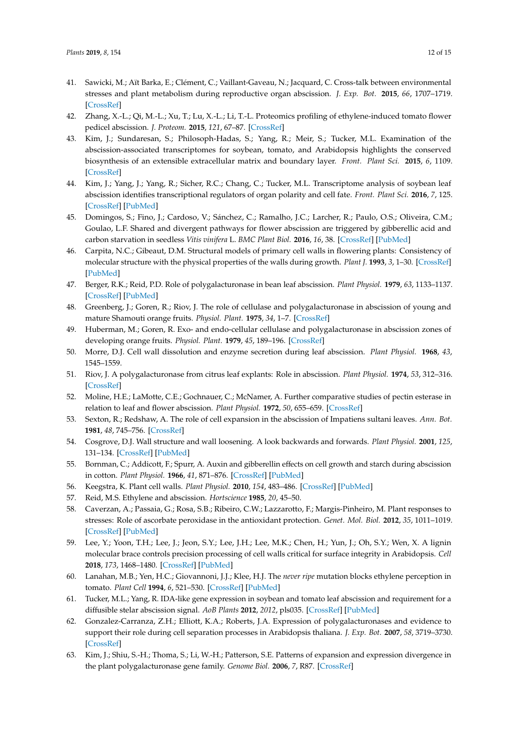- 41. Sawicki, M.; Aït Barka, E.; Clément, C.; Vaillant-Gaveau, N.; Jacquard, C. Cross-talk between environmental stresses and plant metabolism during reproductive organ abscission. *J. Exp. Bot.* **2015**, *66*, 1707–1719. [\[CrossRef\]](http://dx.doi.org/10.1093/jxb/eru533)
- <span id="page-11-16"></span>42. Zhang, X.-L.; Qi, M.-L.; Xu, T.; Lu, X.-L.; Li, T.-L. Proteomics profiling of ethylene-induced tomato flower pedicel abscission. *J. Proteom.* **2015**, *121*, 67–87. [\[CrossRef\]](http://dx.doi.org/10.1016/j.jprot.2015.03.023)
- <span id="page-11-11"></span>43. Kim, J.; Sundaresan, S.; Philosoph-Hadas, S.; Yang, R.; Meir, S.; Tucker, M.L. Examination of the abscission-associated transcriptomes for soybean, tomato, and Arabidopsis highlights the conserved biosynthesis of an extensible extracellular matrix and boundary layer. *Front. Plant Sci.* **2015**, *6*, 1109. [\[CrossRef\]](http://dx.doi.org/10.3389/fpls.2015.01109)
- <span id="page-11-17"></span>44. Kim, J.; Yang, J.; Yang, R.; Sicher, R.C.; Chang, C.; Tucker, M.L. Transcriptome analysis of soybean leaf abscission identifies transcriptional regulators of organ polarity and cell fate. *Front. Plant Sci.* **2016**, *7*, 125. [\[CrossRef\]](http://dx.doi.org/10.3389/fpls.2016.00125) [\[PubMed\]](http://www.ncbi.nlm.nih.gov/pubmed/26925069)
- <span id="page-11-0"></span>45. Domingos, S.; Fino, J.; Cardoso, V.; Sánchez, C.; Ramalho, J.C.; Larcher, R.; Paulo, O.S.; Oliveira, C.M.; Goulao, L.F. Shared and divergent pathways for flower abscission are triggered by gibberellic acid and carbon starvation in seedless *Vitis vinifera* L. *BMC Plant Biol.* **2016**, *16*, 38. [\[CrossRef\]](http://dx.doi.org/10.1186/s12870-016-0722-7) [\[PubMed\]](http://www.ncbi.nlm.nih.gov/pubmed/26832927)
- <span id="page-11-1"></span>46. Carpita, N.C.; Gibeaut, D.M. Structural models of primary cell walls in flowering plants: Consistency of molecular structure with the physical properties of the walls during growth. *Plant J.* **1993**, *3*, 1–30. [\[CrossRef\]](http://dx.doi.org/10.1111/j.1365-313X.1993.tb00007.x) [\[PubMed\]](http://www.ncbi.nlm.nih.gov/pubmed/8401598)
- <span id="page-11-2"></span>47. Berger, R.K.; Reid, P.D. Role of polygalacturonase in bean leaf abscission. *Plant Physiol.* **1979**, *63*, 1133–1137. [\[CrossRef\]](http://dx.doi.org/10.1104/pp.63.6.1133) [\[PubMed\]](http://www.ncbi.nlm.nih.gov/pubmed/16660870)
- 48. Greenberg, J.; Goren, R.; Riov, J. The role of cellulase and polygalacturonase in abscission of young and mature Shamouti orange fruits. *Physiol. Plant.* **1975**, *34*, 1–7. [\[CrossRef\]](http://dx.doi.org/10.1111/j.1399-3054.1975.tb01845.x)
- 49. Huberman, M.; Goren, R. Exo- and endo-cellular cellulase and polygalacturonase in abscission zones of developing orange fruits. *Physiol. Plant.* **1979**, *45*, 189–196. [\[CrossRef\]](http://dx.doi.org/10.1111/j.1399-3054.1979.tb01685.x)
- 50. Morre, D.J. Cell wall dissolution and enzyme secretion during leaf abscission. *Plant Physiol.* **1968**, *43*, 1545–1559.
- 51. Riov, J. A polygalacturonase from citrus leaf explants: Role in abscission. *Plant Physiol.* **1974**, *53*, 312–316. [\[CrossRef\]](http://dx.doi.org/10.1104/pp.53.2.312)
- <span id="page-11-3"></span>52. Moline, H.E.; LaMotte, C.E.; Gochnauer, C.; McNamer, A. Further comparative studies of pectin esterase in relation to leaf and flower abscission. *Plant Physiol.* **1972**, *50*, 655–659. [\[CrossRef\]](http://dx.doi.org/10.1104/pp.50.6.655)
- <span id="page-11-4"></span>53. Sexton, R.; Redshaw, A. The role of cell expansion in the abscission of Impatiens sultani leaves. *Ann. Bot.* **1981**, *48*, 745–756. [\[CrossRef\]](http://dx.doi.org/10.1093/oxfordjournals.aob.a086181)
- <span id="page-11-5"></span>54. Cosgrove, D.J. Wall structure and wall loosening. A look backwards and forwards. *Plant Physiol.* **2001**, *125*, 131–134. [\[CrossRef\]](http://dx.doi.org/10.1104/pp.125.1.131) [\[PubMed\]](http://www.ncbi.nlm.nih.gov/pubmed/11154315)
- <span id="page-11-6"></span>55. Bornman, C.; Addicott, F.; Spurr, A. Auxin and gibberellin effects on cell growth and starch during abscission in cotton. *Plant Physiol.* **1966**, *41*, 871–876. [\[CrossRef\]](http://dx.doi.org/10.1104/pp.41.5.871) [\[PubMed\]](http://www.ncbi.nlm.nih.gov/pubmed/16656333)
- <span id="page-11-7"></span>56. Keegstra, K. Plant cell walls. *Plant Physiol.* **2010**, *154*, 483–486. [\[CrossRef\]](http://dx.doi.org/10.1104/pp.110.161240) [\[PubMed\]](http://www.ncbi.nlm.nih.gov/pubmed/20921169)
- <span id="page-11-8"></span>57. Reid, M.S. Ethylene and abscission. *Hortscience* **1985**, *20*, 45–50.
- <span id="page-11-9"></span>58. Caverzan, A.; Passaia, G.; Rosa, S.B.; Ribeiro, C.W.; Lazzarotto, F.; Margis-Pinheiro, M. Plant responses to stresses: Role of ascorbate peroxidase in the antioxidant protection. *Genet. Mol. Biol.* **2012**, *35*, 1011–1019. [\[CrossRef\]](http://dx.doi.org/10.1590/S1415-47572012000600016) [\[PubMed\]](http://www.ncbi.nlm.nih.gov/pubmed/23412747)
- <span id="page-11-10"></span>59. Lee, Y.; Yoon, T.H.; Lee, J.; Jeon, S.Y.; Lee, J.H.; Lee, M.K.; Chen, H.; Yun, J.; Oh, S.Y.; Wen, X. A lignin molecular brace controls precision processing of cell walls critical for surface integrity in Arabidopsis. *Cell* **2018**, *173*, 1468–1480. [\[CrossRef\]](http://dx.doi.org/10.1016/j.cell.2018.03.060) [\[PubMed\]](http://www.ncbi.nlm.nih.gov/pubmed/29731167)
- <span id="page-11-12"></span>60. Lanahan, M.B.; Yen, H.C.; Giovannoni, J.J.; Klee, H.J. The *never ripe* mutation blocks ethylene perception in tomato. *Plant Cell* **1994**, *6*, 521–530. [\[CrossRef\]](http://dx.doi.org/10.1105/tpc.6.4.521) [\[PubMed\]](http://www.ncbi.nlm.nih.gov/pubmed/8205003)
- <span id="page-11-13"></span>61. Tucker, M.L.; Yang, R. IDA-like gene expression in soybean and tomato leaf abscission and requirement for a diffusible stelar abscission signal. *AoB Plants* **2012**, *2012*, pls035. [\[CrossRef\]](http://dx.doi.org/10.1093/aobpla/pls035) [\[PubMed\]](http://www.ncbi.nlm.nih.gov/pubmed/23585923)
- <span id="page-11-14"></span>62. Gonzalez-Carranza, Z.H.; Elliott, K.A.; Roberts, J.A. Expression of polygalacturonases and evidence to support their role during cell separation processes in Arabidopsis thaliana. *J. Exp. Bot.* **2007**, *58*, 3719–3730. [\[CrossRef\]](http://dx.doi.org/10.1093/jxb/erm222)
- <span id="page-11-15"></span>63. Kim, J.; Shiu, S.-H.; Thoma, S.; Li, W.-H.; Patterson, S.E. Patterns of expansion and expression divergence in the plant polygalacturonase gene family. *Genome Biol.* **2006**, *7*, R87. [\[CrossRef\]](http://dx.doi.org/10.1186/gb-2006-7-9-r87)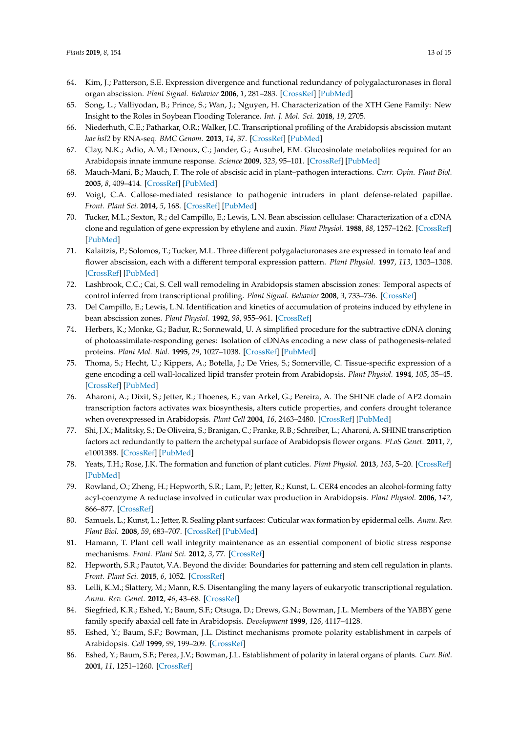- <span id="page-12-0"></span>64. Kim, J.; Patterson, S.E. Expression divergence and functional redundancy of polygalacturonases in floral organ abscission. *Plant Signal. Behavior* **2006**, *1*, 281–283. [\[CrossRef\]](http://dx.doi.org/10.4161/psb.1.6.3541) [\[PubMed\]](http://www.ncbi.nlm.nih.gov/pubmed/19704626)
- <span id="page-12-1"></span>65. Song, L.; Valliyodan, B.; Prince, S.; Wan, J.; Nguyen, H. Characterization of the XTH Gene Family: New Insight to the Roles in Soybean Flooding Tolerance. *Int. J. Mol. Sci.* **2018**, *19*, 2705.
- <span id="page-12-2"></span>66. Niederhuth, C.E.; Patharkar, O.R.; Walker, J.C. Transcriptional profiling of the Arabidopsis abscission mutant *hae hsl2* by RNA-seq. *BMC Genom.* **2013**, *14*, 37. [\[CrossRef\]](http://dx.doi.org/10.1186/1471-2164-14-37) [\[PubMed\]](http://www.ncbi.nlm.nih.gov/pubmed/23327667)
- <span id="page-12-3"></span>67. Clay, N.K.; Adio, A.M.; Denoux, C.; Jander, G.; Ausubel, F.M. Glucosinolate metabolites required for an Arabidopsis innate immune response. *Science* **2009**, *323*, 95–101. [\[CrossRef\]](http://dx.doi.org/10.1126/science.1164627) [\[PubMed\]](http://www.ncbi.nlm.nih.gov/pubmed/19095898)
- <span id="page-12-4"></span>68. Mauch-Mani, B.; Mauch, F. The role of abscisic acid in plant–pathogen interactions. *Curr. Opin. Plant Biol.* **2005**, *8*, 409–414. [\[CrossRef\]](http://dx.doi.org/10.1016/j.pbi.2005.05.015) [\[PubMed\]](http://www.ncbi.nlm.nih.gov/pubmed/15939661)
- <span id="page-12-5"></span>69. Voigt, C.A. Callose-mediated resistance to pathogenic intruders in plant defense-related papillae. *Front. Plant Sci.* **2014**, *5*, 168. [\[CrossRef\]](http://dx.doi.org/10.3389/fpls.2014.00168) [\[PubMed\]](http://www.ncbi.nlm.nih.gov/pubmed/24808903)
- <span id="page-12-6"></span>70. Tucker, M.L.; Sexton, R.; del Campillo, E.; Lewis, L.N. Bean abscission cellulase: Characterization of a cDNA clone and regulation of gene expression by ethylene and auxin. *Plant Physiol.* **1988**, *88*, 1257–1262. [\[CrossRef\]](http://dx.doi.org/10.1104/pp.88.4.1257) [\[PubMed\]](http://www.ncbi.nlm.nih.gov/pubmed/16666452)
- 71. Kalaitzis, P.; Solomos, T.; Tucker, M.L. Three different polygalacturonases are expressed in tomato leaf and flower abscission, each with a different temporal expression pattern. *Plant Physiol.* **1997**, *113*, 1303–1308. [\[CrossRef\]](http://dx.doi.org/10.1104/pp.113.4.1303) [\[PubMed\]](http://www.ncbi.nlm.nih.gov/pubmed/9112778)
- <span id="page-12-7"></span>72. Lashbrook, C.C.; Cai, S. Cell wall remodeling in Arabidopsis stamen abscission zones: Temporal aspects of control inferred from transcriptional profiling. *Plant Signal. Behavior* **2008**, *3*, 733–736. [\[CrossRef\]](http://dx.doi.org/10.4161/psb.3.9.6489)
- <span id="page-12-8"></span>73. Del Campillo, E.; Lewis, L.N. Identification and kinetics of accumulation of proteins induced by ethylene in bean abscission zones. *Plant Physiol.* **1992**, *98*, 955–961. [\[CrossRef\]](http://dx.doi.org/10.1104/pp.98.3.955)
- <span id="page-12-9"></span>74. Herbers, K.; Monke, G.; Badur, R.; Sonnewald, U. A simplified procedure for the subtractive cDNA cloning of photoassimilate-responding genes: Isolation of cDNAs encoding a new class of pathogenesis-related proteins. *Plant Mol. Biol.* **1995**, *29*, 1027–1038. [\[CrossRef\]](http://dx.doi.org/10.1007/BF00014975) [\[PubMed\]](http://www.ncbi.nlm.nih.gov/pubmed/8555446)
- <span id="page-12-10"></span>75. Thoma, S.; Hecht, U.; Kippers, A.; Botella, J.; De Vries, S.; Somerville, C. Tissue-specific expression of a gene encoding a cell wall-localized lipid transfer protein from Arabidopsis. *Plant Physiol.* **1994**, *105*, 35–45. [\[CrossRef\]](http://dx.doi.org/10.1104/pp.105.1.35) [\[PubMed\]](http://www.ncbi.nlm.nih.gov/pubmed/8029357)
- <span id="page-12-12"></span>76. Aharoni, A.; Dixit, S.; Jetter, R.; Thoenes, E.; van Arkel, G.; Pereira, A. The SHINE clade of AP2 domain transcription factors activates wax biosynthesis, alters cuticle properties, and confers drought tolerance when overexpressed in Arabidopsis. *Plant Cell* **2004**, *16*, 2463–2480. [\[CrossRef\]](http://dx.doi.org/10.1105/tpc.104.022897) [\[PubMed\]](http://www.ncbi.nlm.nih.gov/pubmed/15319479)
- <span id="page-12-11"></span>77. Shi, J.X.; Malitsky, S.; De Oliveira, S.; Branigan, C.; Franke, R.B.; Schreiber, L.; Aharoni, A. SHINE transcription factors act redundantly to pattern the archetypal surface of Arabidopsis flower organs. *PLoS Genet.* **2011**, *7*, e1001388. [\[CrossRef\]](http://dx.doi.org/10.1371/journal.pgen.1001388) [\[PubMed\]](http://www.ncbi.nlm.nih.gov/pubmed/21637781)
- <span id="page-12-13"></span>78. Yeats, T.H.; Rose, J.K. The formation and function of plant cuticles. *Plant Physiol.* **2013**, *163*, 5–20. [\[CrossRef\]](http://dx.doi.org/10.1104/pp.113.222737) [\[PubMed\]](http://www.ncbi.nlm.nih.gov/pubmed/23893170)
- <span id="page-12-14"></span>79. Rowland, O.; Zheng, H.; Hepworth, S.R.; Lam, P.; Jetter, R.; Kunst, L. CER4 encodes an alcohol-forming fatty acyl-coenzyme A reductase involved in cuticular wax production in Arabidopsis. *Plant Physiol.* **2006**, *142*, 866–877. [\[CrossRef\]](http://dx.doi.org/10.1104/pp.106.086785)
- <span id="page-12-15"></span>80. Samuels, L.; Kunst, L.; Jetter, R. Sealing plant surfaces: Cuticular wax formation by epidermal cells. *Annu. Rev. Plant Biol.* **2008**, *59*, 683–707. [\[CrossRef\]](http://dx.doi.org/10.1146/annurev.arplant.59.103006.093219) [\[PubMed\]](http://www.ncbi.nlm.nih.gov/pubmed/18251711)
- <span id="page-12-16"></span>81. Hamann, T. Plant cell wall integrity maintenance as an essential component of biotic stress response mechanisms. *Front. Plant Sci.* **2012**, *3*, 77. [\[CrossRef\]](http://dx.doi.org/10.3389/fpls.2012.00077)
- <span id="page-12-17"></span>82. Hepworth, S.R.; Pautot, V.A. Beyond the divide: Boundaries for patterning and stem cell regulation in plants. *Front. Plant Sci.* **2015**, *6*, 1052. [\[CrossRef\]](http://dx.doi.org/10.3389/fpls.2015.01052)
- <span id="page-12-18"></span>83. Lelli, K.M.; Slattery, M.; Mann, R.S. Disentangling the many layers of eukaryotic transcriptional regulation. *Annu. Rev. Genet.* **2012**, *46*, 43–68. [\[CrossRef\]](http://dx.doi.org/10.1146/annurev-genet-110711-155437)
- <span id="page-12-19"></span>84. Siegfried, K.R.; Eshed, Y.; Baum, S.F.; Otsuga, D.; Drews, G.N.; Bowman, J.L. Members of the YABBY gene family specify abaxial cell fate in Arabidopsis. *Development* **1999**, *126*, 4117–4128.
- <span id="page-12-20"></span>85. Eshed, Y.; Baum, S.F.; Bowman, J.L. Distinct mechanisms promote polarity establishment in carpels of Arabidopsis. *Cell* **1999**, *99*, 199–209. [\[CrossRef\]](http://dx.doi.org/10.1016/S0092-8674(00)81651-7)
- 86. Eshed, Y.; Baum, S.F.; Perea, J.V.; Bowman, J.L. Establishment of polarity in lateral organs of plants. *Curr. Biol.* **2001**, *11*, 1251–1260. [\[CrossRef\]](http://dx.doi.org/10.1016/S0960-9822(01)00392-X)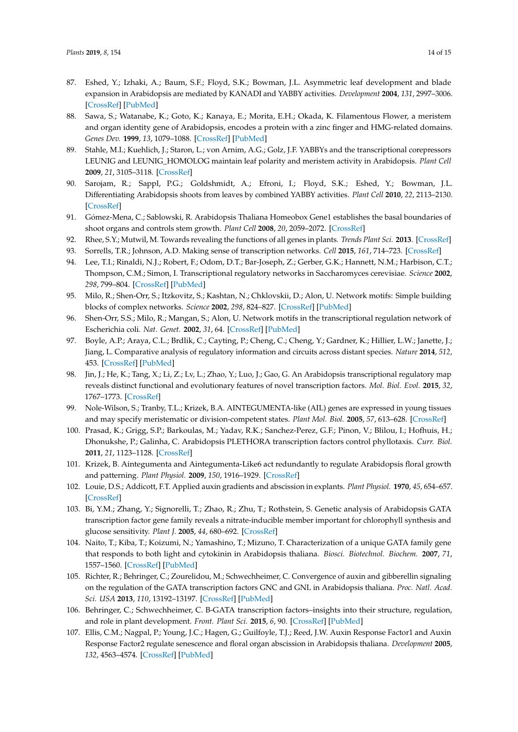- <span id="page-13-1"></span>87. Eshed, Y.; Izhaki, A.; Baum, S.F.; Floyd, S.K.; Bowman, J.L. Asymmetric leaf development and blade expansion in Arabidopsis are mediated by KANADI and YABBY activities. *Development* **2004**, *131*, 2997–3006. [\[CrossRef\]](http://dx.doi.org/10.1242/dev.01186) [\[PubMed\]](http://www.ncbi.nlm.nih.gov/pubmed/15169760)
- 88. Sawa, S.; Watanabe, K.; Goto, K.; Kanaya, E.; Morita, E.H.; Okada, K. Filamentous Flower, a meristem and organ identity gene of Arabidopsis, encodes a protein with a zinc finger and HMG-related domains. *Genes Dev.* **1999**, *13*, 1079–1088. [\[CrossRef\]](http://dx.doi.org/10.1101/gad.13.9.1079) [\[PubMed\]](http://www.ncbi.nlm.nih.gov/pubmed/10323860)
- 89. Stahle, M.I.; Kuehlich, J.; Staron, L.; von Arnim, A.G.; Golz, J.F. YABBYs and the transcriptional corepressors LEUNIG and LEUNIG\_HOMOLOG maintain leaf polarity and meristem activity in Arabidopsis. *Plant Cell* **2009**, *21*, 3105–3118. [\[CrossRef\]](http://dx.doi.org/10.1105/tpc.109.070458)
- <span id="page-13-0"></span>90. Sarojam, R.; Sappl, P.G.; Goldshmidt, A.; Efroni, I.; Floyd, S.K.; Eshed, Y.; Bowman, J.L. Differentiating Arabidopsis shoots from leaves by combined YABBY activities. *Plant Cell* **2010**, *22*, 2113–2130. [\[CrossRef\]](http://dx.doi.org/10.1105/tpc.110.075853)
- <span id="page-13-2"></span>91. Gómez-Mena, C.; Sablowski, R. Arabidopsis Thaliana Homeobox Gene1 establishes the basal boundaries of shoot organs and controls stem growth. *Plant Cell* **2008**, *20*, 2059–2072. [\[CrossRef\]](http://dx.doi.org/10.1105/tpc.108.059188)
- <span id="page-13-3"></span>92. Rhee, S.Y.; Mutwil, M. Towards revealing the functions of all genes in plants. *Trends Plant Sci.* **2013**. [\[CrossRef\]](http://dx.doi.org/10.1016/j.tplants.2013.10.006)
- <span id="page-13-4"></span>93. Sorrells, T.R.; Johnson, A.D. Making sense of transcription networks. *Cell* **2015**, *161*, 714–723. [\[CrossRef\]](http://dx.doi.org/10.1016/j.cell.2015.04.014)
- <span id="page-13-5"></span>94. Lee, T.I.; Rinaldi, N.J.; Robert, F.; Odom, D.T.; Bar-Joseph, Z.; Gerber, G.K.; Hannett, N.M.; Harbison, C.T.; Thompson, C.M.; Simon, I. Transcriptional regulatory networks in Saccharomyces cerevisiae. *Science* **2002**, *298*, 799–804. [\[CrossRef\]](http://dx.doi.org/10.1126/science.1075090) [\[PubMed\]](http://www.ncbi.nlm.nih.gov/pubmed/12399584)
- 95. Milo, R.; Shen-Orr, S.; Itzkovitz, S.; Kashtan, N.; Chklovskii, D.; Alon, U. Network motifs: Simple building blocks of complex networks. *Science* **2002**, *298*, 824–827. [\[CrossRef\]](http://dx.doi.org/10.1126/science.298.5594.824) [\[PubMed\]](http://www.ncbi.nlm.nih.gov/pubmed/12399590)
- 96. Shen-Orr, S.S.; Milo, R.; Mangan, S.; Alon, U. Network motifs in the transcriptional regulation network of Escherichia coli. *Nat. Genet.* **2002**, *31*, 64. [\[CrossRef\]](http://dx.doi.org/10.1038/ng881) [\[PubMed\]](http://www.ncbi.nlm.nih.gov/pubmed/11967538)
- 97. Boyle, A.P.; Araya, C.L.; Brdlik, C.; Cayting, P.; Cheng, C.; Cheng, Y.; Gardner, K.; Hillier, L.W.; Janette, J.; Jiang, L. Comparative analysis of regulatory information and circuits across distant species. *Nature* **2014**, *512*, 453. [\[CrossRef\]](http://dx.doi.org/10.1038/nature13668) [\[PubMed\]](http://www.ncbi.nlm.nih.gov/pubmed/25164757)
- <span id="page-13-6"></span>98. Jin, J.; He, K.; Tang, X.; Li, Z.; Lv, L.; Zhao, Y.; Luo, J.; Gao, G. An Arabidopsis transcriptional regulatory map reveals distinct functional and evolutionary features of novel transcription factors. *Mol. Biol. Evol.* **2015**, *32*, 1767–1773. [\[CrossRef\]](http://dx.doi.org/10.1093/molbev/msv058)
- <span id="page-13-7"></span>99. Nole-Wilson, S.; Tranby, T.L.; Krizek, B.A. AINTEGUMENTA-like (AIL) genes are expressed in young tissues and may specify meristematic or division-competent states. *Plant Mol. Biol.* **2005**, *57*, 613–628. [\[CrossRef\]](http://dx.doi.org/10.1007/s11103-005-0955-6)
- <span id="page-13-8"></span>100. Prasad, K.; Grigg, S.P.; Barkoulas, M.; Yadav, R.K.; Sanchez-Perez, G.F.; Pinon, V.; Blilou, I.; Hofhuis, H.; Dhonukshe, P.; Galinha, C. Arabidopsis PLETHORA transcription factors control phyllotaxis. *Curr. Biol.* **2011**, *21*, 1123–1128. [\[CrossRef\]](http://dx.doi.org/10.1016/j.cub.2011.05.009)
- <span id="page-13-9"></span>101. Krizek, B. Aintegumenta and Aintegumenta-Like6 act redundantly to regulate Arabidopsis floral growth and patterning. *Plant Physiol.* **2009**, *150*, 1916–1929. [\[CrossRef\]](http://dx.doi.org/10.1104/pp.109.141119)
- <span id="page-13-10"></span>102. Louie, D.S.; Addicott, F.T. Applied auxin gradients and abscission in explants. *Plant Physiol.* **1970**, *45*, 654–657. [\[CrossRef\]](http://dx.doi.org/10.1104/pp.45.6.654)
- <span id="page-13-11"></span>103. Bi, Y.M.; Zhang, Y.; Signorelli, T.; Zhao, R.; Zhu, T.; Rothstein, S. Genetic analysis of Arabidopsis GATA transcription factor gene family reveals a nitrate-inducible member important for chlorophyll synthesis and glucose sensitivity. *Plant J.* **2005**, *44*, 680–692. [\[CrossRef\]](http://dx.doi.org/10.1111/j.1365-313X.2005.02568.x)
- <span id="page-13-12"></span>104. Naito, T.; Kiba, T.; Koizumi, N.; Yamashino, T.; Mizuno, T. Characterization of a unique GATA family gene that responds to both light and cytokinin in Arabidopsis thaliana. *Biosci. Biotechnol. Biochem.* **2007**, *71*, 1557–1560. [\[CrossRef\]](http://dx.doi.org/10.1271/bbb.60692) [\[PubMed\]](http://www.ncbi.nlm.nih.gov/pubmed/17587690)
- <span id="page-13-13"></span>105. Richter, R.; Behringer, C.; Zourelidou, M.; Schwechheimer, C. Convergence of auxin and gibberellin signaling on the regulation of the GATA transcription factors GNC and GNL in Arabidopsis thaliana. *Proc. Natl. Acad. Sci. USA* **2013**, *110*, 13192–13197. [\[CrossRef\]](http://dx.doi.org/10.1073/pnas.1304250110) [\[PubMed\]](http://www.ncbi.nlm.nih.gov/pubmed/23878229)
- <span id="page-13-14"></span>106. Behringer, C.; Schwechheimer, C. B-GATA transcription factors–insights into their structure, regulation, and role in plant development. *Front. Plant Sci.* **2015**, *6*, 90. [\[CrossRef\]](http://dx.doi.org/10.3389/fpls.2015.00090) [\[PubMed\]](http://www.ncbi.nlm.nih.gov/pubmed/25755661)
- 107. Ellis, C.M.; Nagpal, P.; Young, J.C.; Hagen, G.; Guilfoyle, T.J.; Reed, J.W. Auxin Response Factor1 and Auxin Response Factor2 regulate senescence and floral organ abscission in Arabidopsis thaliana. *Development* **2005**, *132*, 4563–4574. [\[CrossRef\]](http://dx.doi.org/10.1242/dev.02012) [\[PubMed\]](http://www.ncbi.nlm.nih.gov/pubmed/16176952)